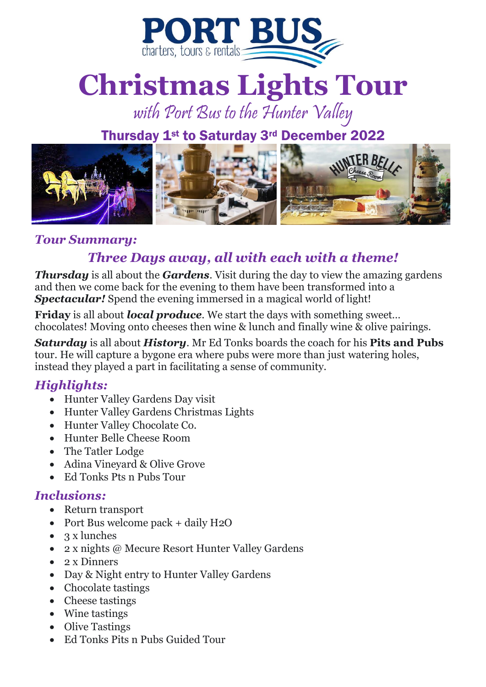

# **Christmas Lights Tour**

# with Port Bus to the Hunter Valley

## Thursday 1st to Saturday 3rd December 2022



#### *Tour Summary:*

### *Three Days away, all with each with a theme!*

*Thursday* is all about the *Gardens*. Visit during the day to view the amazing gardens and then we come back for the evening to them have been transformed into a **Spectacular!** Spend the evening immersed in a magical world of light!

**Friday** is all about *local produce*. We start the days with something sweet… chocolates! Moving onto cheeses then wine & lunch and finally wine & olive pairings.

*Saturday* is all about *History*. Mr Ed Tonks boards the coach for his **Pits and Pubs**  tour. He will capture a bygone era where pubs were more than just watering holes, instead they played a part in facilitating a sense of community.

#### *Highlights:*

- Hunter Valley Gardens Day visit
- Hunter Valley Gardens Christmas Lights
- Hunter Valley Chocolate Co.
- Hunter Belle Cheese Room
- The Tatler Lodge
- Adina Vineyard & Olive Grove
- Ed Tonks Pts n Pubs Tour

#### *Inclusions:*

- Return transport
- Port Bus welcome pack + daily H2O
- 3 x lunches
- 2 x nights @ Mecure Resort Hunter Valley Gardens
- 2 x Dinners
- Day & Night entry to Hunter Valley Gardens
- Chocolate tastings
- Cheese tastings
- Wine tastings
- Olive Tastings
- Ed Tonks Pits n Pubs Guided Tour